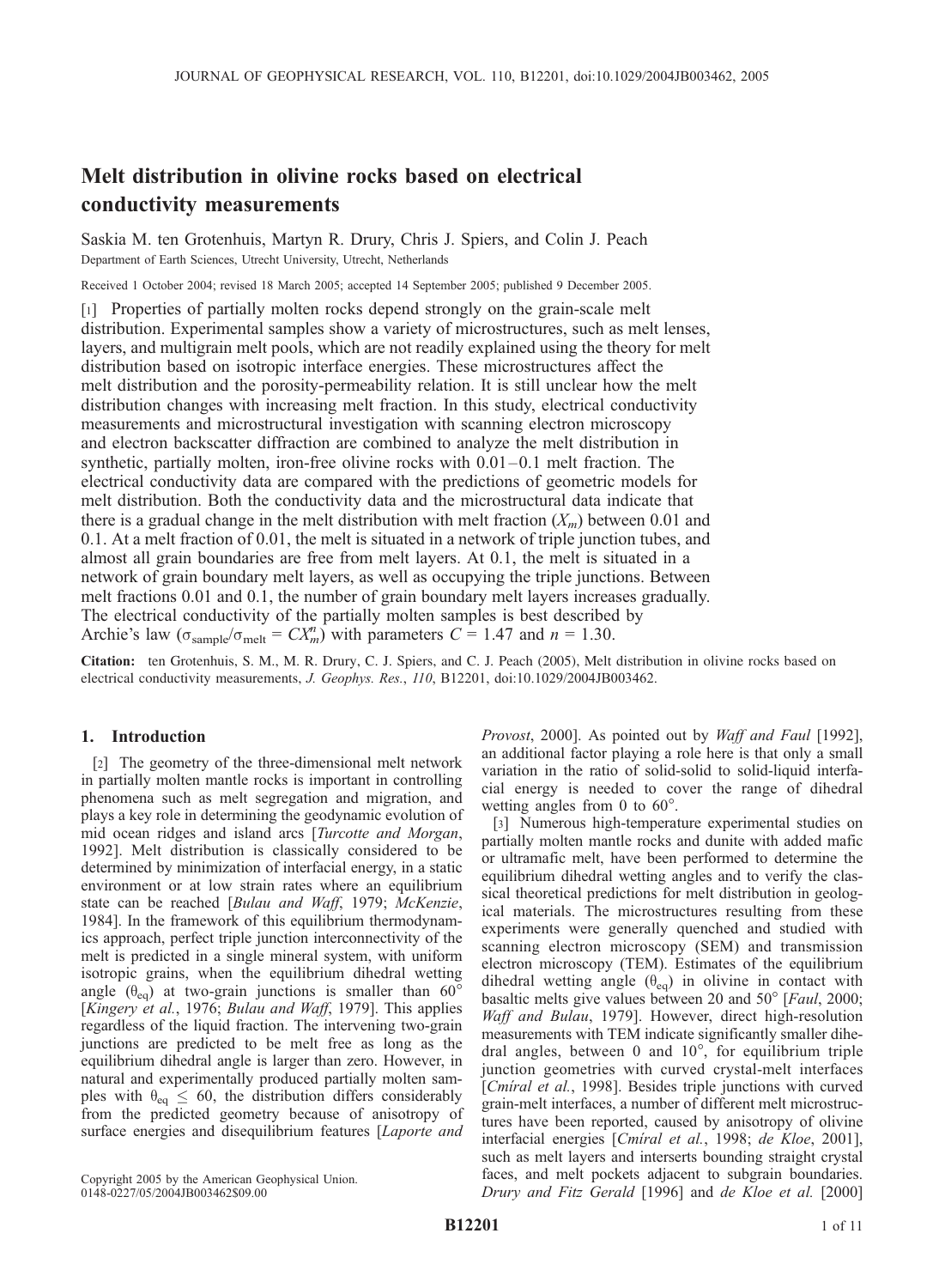# Melt distribution in olivine rocks based on electrical conductivity measurements

Saskia M. ten Grotenhuis, Martyn R. Drury, Chris J. Spiers, and Colin J. Peach Department of Earth Sciences, Utrecht University, Utrecht, Netherlands

Received 1 October 2004; revised 18 March 2005; accepted 14 September 2005; published 9 December 2005.

[1] Properties of partially molten rocks depend strongly on the grain-scale melt distribution. Experimental samples show a variety of microstructures, such as melt lenses, layers, and multigrain melt pools, which are not readily explained using the theory for melt distribution based on isotropic interface energies. These microstructures affect the melt distribution and the porosity-permeability relation. It is still unclear how the melt distribution changes with increasing melt fraction. In this study, electrical conductivity measurements and microstructural investigation with scanning electron microscopy and electron backscatter diffraction are combined to analyze the melt distribution in synthetic, partially molten, iron-free olivine rocks with 0.01–0.1 melt fraction. The electrical conductivity data are compared with the predictions of geometric models for melt distribution. Both the conductivity data and the microstructural data indicate that there is a gradual change in the melt distribution with melt fraction  $(X_m)$  between 0.01 and 0.1. At a melt fraction of 0.01, the melt is situated in a network of triple junction tubes, and almost all grain boundaries are free from melt layers. At 0.1, the melt is situated in a network of grain boundary melt layers, as well as occupying the triple junctions. Between melt fractions 0.01 and 0.1, the number of grain boundary melt layers increases gradually. The electrical conductivity of the partially molten samples is best described by Archie's law ( $\sigma_{\text{sample}}/\sigma_{\text{melt}} = CX_m^n$ ) with parameters  $C = 1.47$  and  $n = 1.30$ .

Citation: ten Grotenhuis, S. M., M. R. Drury, C. J. Spiers, and C. J. Peach (2005), Melt distribution in olivine rocks based on electrical conductivity measurements, J. Geophys. Res., 110, B12201, doi:10.1029/2004JB003462.

# 1. Introduction

[2] The geometry of the three-dimensional melt network in partially molten mantle rocks is important in controlling phenomena such as melt segregation and migration, and plays a key role in determining the geodynamic evolution of mid ocean ridges and island arcs [Turcotte and Morgan, 1992]. Melt distribution is classically considered to be determined by minimization of interfacial energy, in a static environment or at low strain rates where an equilibrium state can be reached [Bulau and Waff, 1979; McKenzie, 1984]. In the framework of this equilibrium thermodynamics approach, perfect triple junction interconnectivity of the melt is predicted in a single mineral system, with uniform isotropic grains, when the equilibrium dihedral wetting angle  $(\theta_{eq})$  at two-grain junctions is smaller than 60° [Kingery et al., 1976; Bulau and Waff, 1979]. This applies regardless of the liquid fraction. The intervening two-grain junctions are predicted to be melt free as long as the equilibrium dihedral angle is larger than zero. However, in natural and experimentally produced partially molten samples with  $\theta_{eq} \leq 60$ , the distribution differs considerably from the predicted geometry because of anisotropy of surface energies and disequilibrium features [Laporte and

Provost, 2000]. As pointed out by Waff and Faul [1992], an additional factor playing a role here is that only a small variation in the ratio of solid-solid to solid-liquid interfacial energy is needed to cover the range of dihedral wetting angles from 0 to  $60^\circ$ .

[3] Numerous high-temperature experimental studies on partially molten mantle rocks and dunite with added mafic or ultramafic melt, have been performed to determine the equilibrium dihedral wetting angles and to verify the classical theoretical predictions for melt distribution in geological materials. The microstructures resulting from these experiments were generally quenched and studied with scanning electron microscopy (SEM) and transmission electron microscopy (TEM). Estimates of the equilibrium dihedral wetting angle  $(\theta_{eq})$  in olivine in contact with basaltic melts give values between 20 and  $50^{\circ}$  [Faul, 2000; Waff and Bulau, 1979]. However, direct high-resolution measurements with TEM indicate significantly smaller dihedral angles, between  $0$  and  $10^{\circ}$ , for equilibrium triple junction geometries with curved crystal-melt interfaces [Cmiral et al., 1998]. Besides triple junctions with curved grain-melt interfaces, a number of different melt microstructures have been reported, caused by anisotropy of olivine interfacial energies [Cmiral et al., 1998; de Kloe, 2001], such as melt layers and interserts bounding straight crystal faces, and melt pockets adjacent to subgrain boundaries. Drury and Fitz Gerald [1996] and de Kloe et al. [2000]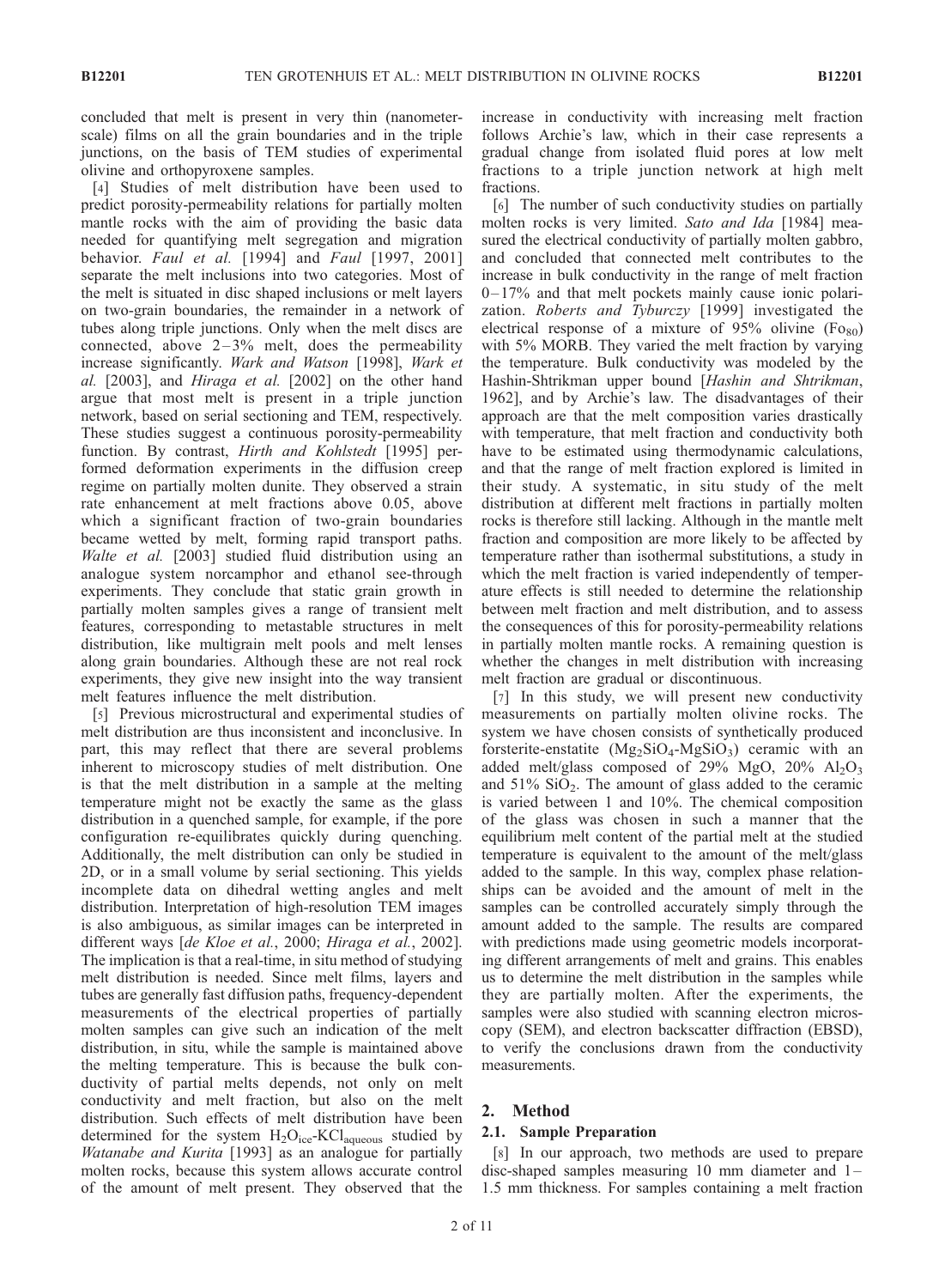concluded that melt is present in very thin (nanometerscale) films on all the grain boundaries and in the triple junctions, on the basis of TEM studies of experimental olivine and orthopyroxene samples.

[4] Studies of melt distribution have been used to predict porosity-permeability relations for partially molten mantle rocks with the aim of providing the basic data needed for quantifying melt segregation and migration behavior. Faul et al. [1994] and Faul [1997, 2001] separate the melt inclusions into two categories. Most of the melt is situated in disc shaped inclusions or melt layers on two-grain boundaries, the remainder in a network of tubes along triple junctions. Only when the melt discs are connected, above  $2-3\%$  melt, does the permeability increase significantly. Wark and Watson [1998], Wark et al. [2003], and Hiraga et al. [2002] on the other hand argue that most melt is present in a triple junction network, based on serial sectioning and TEM, respectively. These studies suggest a continuous porosity-permeability function. By contrast, *Hirth and Kohlstedt* [1995] performed deformation experiments in the diffusion creep regime on partially molten dunite. They observed a strain rate enhancement at melt fractions above 0.05, above which a significant fraction of two-grain boundaries became wetted by melt, forming rapid transport paths. Walte et al. [2003] studied fluid distribution using an analogue system norcamphor and ethanol see-through experiments. They conclude that static grain growth in partially molten samples gives a range of transient melt features, corresponding to metastable structures in melt distribution, like multigrain melt pools and melt lenses along grain boundaries. Although these are not real rock experiments, they give new insight into the way transient melt features influence the melt distribution.

[5] Previous microstructural and experimental studies of melt distribution are thus inconsistent and inconclusive. In part, this may reflect that there are several problems inherent to microscopy studies of melt distribution. One is that the melt distribution in a sample at the melting temperature might not be exactly the same as the glass distribution in a quenched sample, for example, if the pore configuration re-equilibrates quickly during quenching. Additionally, the melt distribution can only be studied in 2D, or in a small volume by serial sectioning. This yields incomplete data on dihedral wetting angles and melt distribution. Interpretation of high-resolution TEM images is also ambiguous, as similar images can be interpreted in different ways [de Kloe et al., 2000; Hiraga et al., 2002]. The implication is that a real-time, in situ method of studying melt distribution is needed. Since melt films, layers and tubes are generally fast diffusion paths, frequency-dependent measurements of the electrical properties of partially molten samples can give such an indication of the melt distribution, in situ, while the sample is maintained above the melting temperature. This is because the bulk conductivity of partial melts depends, not only on melt conductivity and melt fraction, but also on the melt distribution. Such effects of melt distribution have been determined for the system  $H_2O_{ice}$ -KCl<sub>aqueous</sub> studied by Watanabe and Kurita [1993] as an analogue for partially molten rocks, because this system allows accurate control of the amount of melt present. They observed that the

increase in conductivity with increasing melt fraction follows Archie's law, which in their case represents a gradual change from isolated fluid pores at low melt fractions to a triple junction network at high melt fractions.

[6] The number of such conductivity studies on partially molten rocks is very limited. Sato and Ida [1984] measured the electrical conductivity of partially molten gabbro, and concluded that connected melt contributes to the increase in bulk conductivity in the range of melt fraction  $0-17%$  and that melt pockets mainly cause ionic polarization. Roberts and Tyburczy [1999] investigated the electrical response of a mixture of 95% olivine  $(F_{080})$ with 5% MORB. They varied the melt fraction by varying the temperature. Bulk conductivity was modeled by the Hashin-Shtrikman upper bound [Hashin and Shtrikman, 1962], and by Archie's law. The disadvantages of their approach are that the melt composition varies drastically with temperature, that melt fraction and conductivity both have to be estimated using thermodynamic calculations, and that the range of melt fraction explored is limited in their study. A systematic, in situ study of the melt distribution at different melt fractions in partially molten rocks is therefore still lacking. Although in the mantle melt fraction and composition are more likely to be affected by temperature rather than isothermal substitutions, a study in which the melt fraction is varied independently of temperature effects is still needed to determine the relationship between melt fraction and melt distribution, and to assess the consequences of this for porosity-permeability relations in partially molten mantle rocks. A remaining question is whether the changes in melt distribution with increasing melt fraction are gradual or discontinuous.

[7] In this study, we will present new conductivity measurements on partially molten olivine rocks. The system we have chosen consists of synthetically produced forsterite-enstatite  $(Mg_2SiO_4-MgSiO_3)$  ceramic with an added melt/glass composed of 29% MgO,  $20\%$  Al<sub>2</sub>O<sub>3</sub> and  $51\%$  SiO<sub>2</sub>. The amount of glass added to the ceramic is varied between 1 and 10%. The chemical composition of the glass was chosen in such a manner that the equilibrium melt content of the partial melt at the studied temperature is equivalent to the amount of the melt/glass added to the sample. In this way, complex phase relationships can be avoided and the amount of melt in the samples can be controlled accurately simply through the amount added to the sample. The results are compared with predictions made using geometric models incorporating different arrangements of melt and grains. This enables us to determine the melt distribution in the samples while they are partially molten. After the experiments, the samples were also studied with scanning electron microscopy (SEM), and electron backscatter diffraction (EBSD), to verify the conclusions drawn from the conductivity measurements.

# 2. Method

# 2.1. Sample Preparation

[8] In our approach, two methods are used to prepare disc-shaped samples measuring 10 mm diameter and  $1-$ 1.5 mm thickness. For samples containing a melt fraction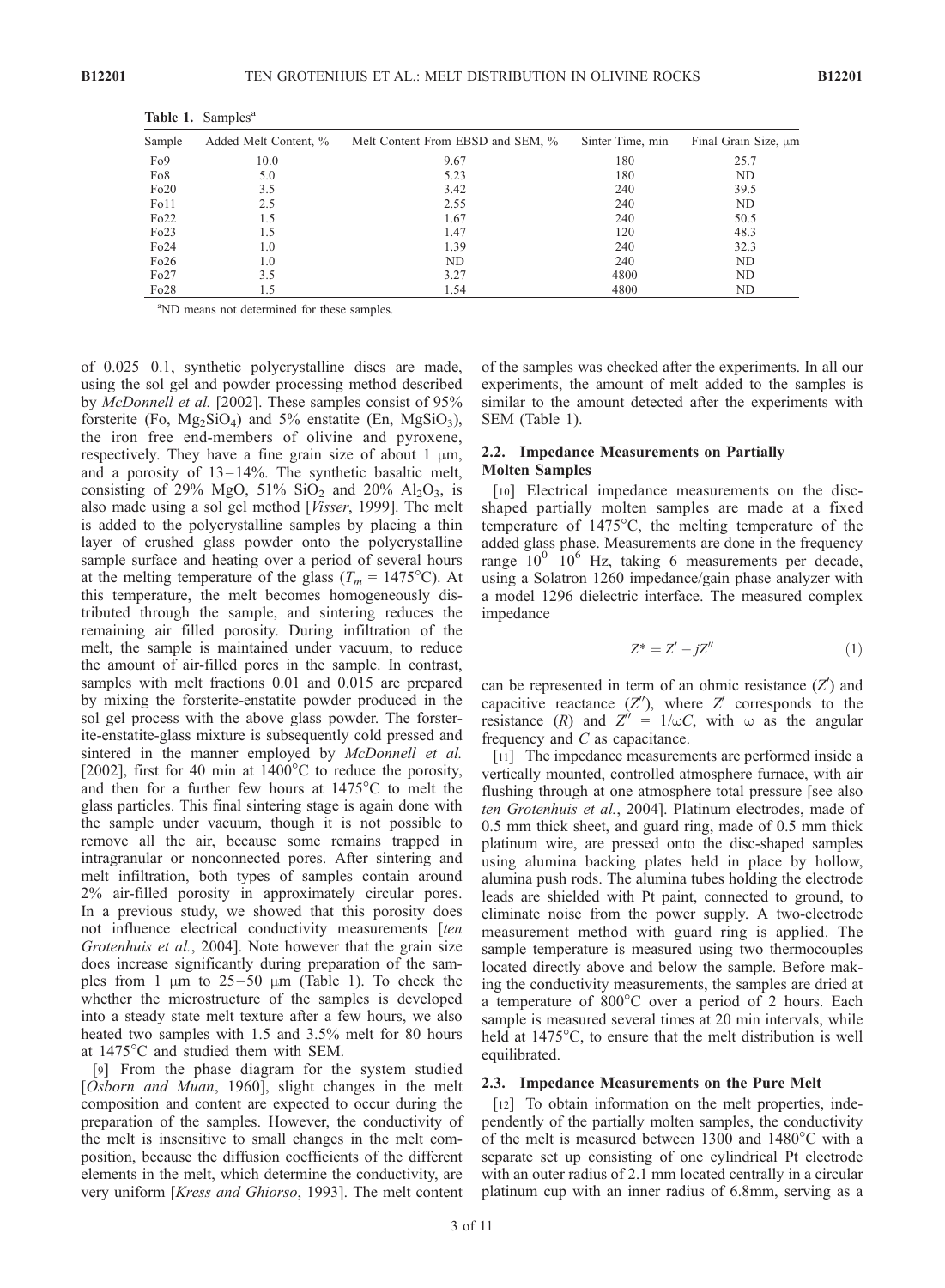| Sample            | Added Melt Content, % | Melt Content From EBSD and SEM, % | Sinter Time, min | Final Grain Size, um |
|-------------------|-----------------------|-----------------------------------|------------------|----------------------|
| F <sub>o</sub> 9  | 10.0                  | 9.67                              | 180              | 25.7                 |
| Fo <sub>8</sub>   | 5.0                   | 5.23                              | 180              | ND                   |
| Fo20              | 3.5                   | 3.42                              | 240              | 39.5                 |
| F <sub>0</sub> 11 | 2.5                   | 2.55                              | 240              | ND                   |
| Fo22              | 1.5                   | 1.67                              | 240              | 50.5                 |
| Fo23              | 1.5                   | 1.47                              | 120              | 48.3                 |
| Fo24              | 1.0                   | 1.39                              | 240              | 32.3                 |
| Fo26              | 1.0                   | ND.                               | 240              | ND                   |
| Fo27              | 3.5                   | 3.27                              | 4800             | ND                   |
| Fo28              | 1.5                   | 1.54                              | 4800             | ND                   |

Table 1. Samples<sup>a</sup>

<sup>a</sup>ND means not determined for these samples.

of 0.025–0.1, synthetic polycrystalline discs are made, using the sol gel and powder processing method described by McDonnell et al. [2002]. These samples consist of 95% forsterite (Fo,  $Mg_2SiO_4$ ) and 5% enstatite (En,  $MgSiO_3$ ), the iron free end-members of olivine and pyroxene, respectively. They have a fine grain size of about 1  $\mu$ m, and a porosity of 13– 14%. The synthetic basaltic melt, consisting of 29% MgO,  $51\%$  SiO<sub>2</sub> and 20% Al<sub>2</sub>O<sub>3</sub>, is also made using a sol gel method [Visser, 1999]. The melt is added to the polycrystalline samples by placing a thin layer of crushed glass powder onto the polycrystalline sample surface and heating over a period of several hours at the melting temperature of the glass ( $T_m = 1475^{\circ}$ C). At this temperature, the melt becomes homogeneously distributed through the sample, and sintering reduces the remaining air filled porosity. During infiltration of the melt, the sample is maintained under vacuum, to reduce the amount of air-filled pores in the sample. In contrast, samples with melt fractions 0.01 and 0.015 are prepared by mixing the forsterite-enstatite powder produced in the sol gel process with the above glass powder. The forsterite-enstatite-glass mixture is subsequently cold pressed and sintered in the manner employed by McDonnell et al. [2002], first for 40 min at  $1400^{\circ}$ C to reduce the porosity, and then for a further few hours at  $1475^{\circ}$ C to melt the glass particles. This final sintering stage is again done with the sample under vacuum, though it is not possible to remove all the air, because some remains trapped in intragranular or nonconnected pores. After sintering and melt infiltration, both types of samples contain around 2% air-filled porosity in approximately circular pores. In a previous study, we showed that this porosity does not influence electrical conductivity measurements [ten] Grotenhuis et al., 2004]. Note however that the grain size does increase significantly during preparation of the samples from 1  $\mu$ m to 25–50  $\mu$ m (Table 1). To check the whether the microstructure of the samples is developed into a steady state melt texture after a few hours, we also heated two samples with 1.5 and 3.5% melt for 80 hours at 1475°C and studied them with SEM.

[9] From the phase diagram for the system studied [Osborn and Muan, 1960], slight changes in the melt composition and content are expected to occur during the preparation of the samples. However, the conductivity of the melt is insensitive to small changes in the melt composition, because the diffusion coefficients of the different elements in the melt, which determine the conductivity, are very uniform [Kress and Ghiorso, 1993]. The melt content

of the samples was checked after the experiments. In all our experiments, the amount of melt added to the samples is similar to the amount detected after the experiments with SEM (Table 1).

# 2.2. Impedance Measurements on Partially Molten Samples

[10] Electrical impedance measurements on the discshaped partially molten samples are made at a fixed temperature of  $1475^{\circ}$ C, the melting temperature of the added glass phase. Measurements are done in the frequency range  $10^{0} - 10^{6}$  Hz, taking 6 measurements per decade, using a Solatron 1260 impedance/gain phase analyzer with a model 1296 dielectric interface. The measured complex impedance

$$
Z^* = Z' - jZ''
$$
 (1)

can be represented in term of an ohmic resistance  $(Z')$  and capacitive reactance  $(Z'')$ , where  $Z'$  corresponds to the resistance (R) and  $Z'' = 1/\omega C$ , with  $\omega$  as the angular frequency and C as capacitance.

[11] The impedance measurements are performed inside a vertically mounted, controlled atmosphere furnace, with air flushing through at one atmosphere total pressure [see also ten Grotenhuis et al., 2004]. Platinum electrodes, made of 0.5 mm thick sheet, and guard ring, made of 0.5 mm thick platinum wire, are pressed onto the disc-shaped samples using alumina backing plates held in place by hollow, alumina push rods. The alumina tubes holding the electrode leads are shielded with Pt paint, connected to ground, to eliminate noise from the power supply. A two-electrode measurement method with guard ring is applied. The sample temperature is measured using two thermocouples located directly above and below the sample. Before making the conductivity measurements, the samples are dried at a temperature of  $800^{\circ}$ C over a period of 2 hours. Each sample is measured several times at 20 min intervals, while held at  $1475^{\circ}$ C, to ensure that the melt distribution is well equilibrated.

# 2.3. Impedance Measurements on the Pure Melt

[12] To obtain information on the melt properties, independently of the partially molten samples, the conductivity of the melt is measured between 1300 and  $1480^{\circ}$ C with a separate set up consisting of one cylindrical Pt electrode with an outer radius of 2.1 mm located centrally in a circular platinum cup with an inner radius of 6.8mm, serving as a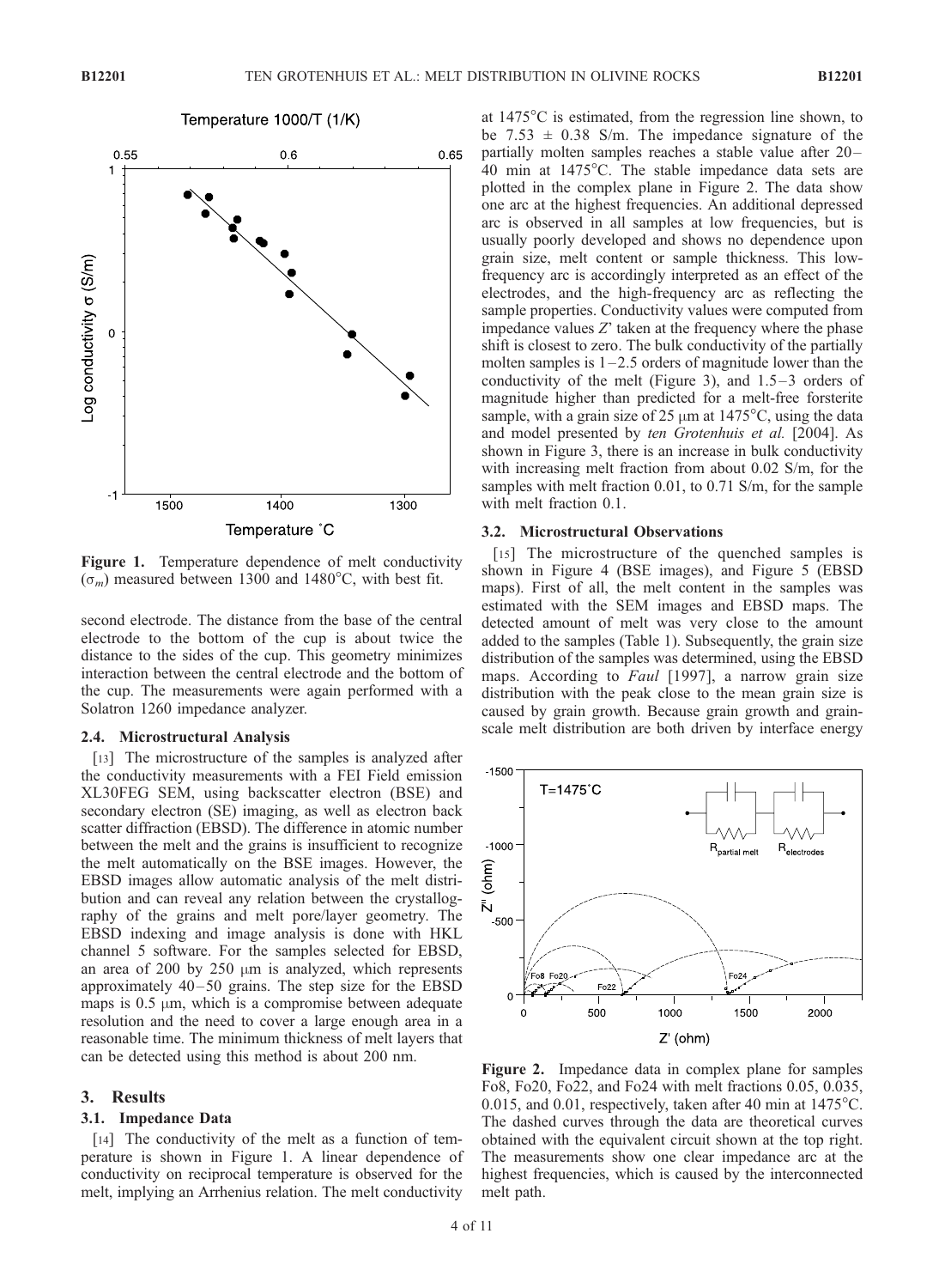

Figure 1. Temperature dependence of melt conductivity  $(\sigma_m)$  measured between 1300 and 1480°C, with best fit.

second electrode. The distance from the base of the central electrode to the bottom of the cup is about twice the distance to the sides of the cup. This geometry minimizes interaction between the central electrode and the bottom of the cup. The measurements were again performed with a Solatron 1260 impedance analyzer.

#### 2.4. Microstructural Analysis

[13] The microstructure of the samples is analyzed after the conductivity measurements with a FEI Field emission XL30FEG SEM, using backscatter electron (BSE) and secondary electron (SE) imaging, as well as electron back scatter diffraction (EBSD). The difference in atomic number between the melt and the grains is insufficient to recognize the melt automatically on the BSE images. However, the EBSD images allow automatic analysis of the melt distribution and can reveal any relation between the crystallography of the grains and melt pore/layer geometry. The EBSD indexing and image analysis is done with HKL channel 5 software. For the samples selected for EBSD, an area of 200 by 250  $\mu$ m is analyzed, which represents approximately  $40 - 50$  grains. The step size for the EBSD maps is  $0.5 \mu m$ , which is a compromise between adequate resolution and the need to cover a large enough area in a reasonable time. The minimum thickness of melt layers that can be detected using this method is about 200 nm.

# 3. Results

#### 3.1. Impedance Data

[14] The conductivity of the melt as a function of temperature is shown in Figure 1. A linear dependence of conductivity on reciprocal temperature is observed for the melt, implying an Arrhenius relation. The melt conductivity

at  $1475^{\circ}$ C is estimated, from the regression line shown, to be 7.53  $\pm$  0.38 S/m. The impedance signature of the partially molten samples reaches a stable value after 20– 40 min at 1475°C. The stable impedance data sets are plotted in the complex plane in Figure 2. The data show one arc at the highest frequencies. An additional depressed arc is observed in all samples at low frequencies, but is usually poorly developed and shows no dependence upon grain size, melt content or sample thickness. This lowfrequency arc is accordingly interpreted as an effect of the electrodes, and the high-frequency arc as reflecting the sample properties. Conductivity values were computed from impedance values  $Z'$  taken at the frequency where the phase shift is closest to zero. The bulk conductivity of the partially molten samples is  $1-2.5$  orders of magnitude lower than the conductivity of the melt (Figure 3), and  $1.5-3$  orders of magnitude higher than predicted for a melt-free forsterite sample, with a grain size of 25  $\mu$ m at 1475°C, using the data and model presented by ten Grotenhuis et al. [2004]. As shown in Figure 3, there is an increase in bulk conductivity with increasing melt fraction from about 0.02 S/m, for the samples with melt fraction 0.01, to 0.71 S/m, for the sample with melt fraction 0.1.

# 3.2. Microstructural Observations

[15] The microstructure of the quenched samples is shown in Figure 4 (BSE images), and Figure 5 (EBSD maps). First of all, the melt content in the samples was estimated with the SEM images and EBSD maps. The detected amount of melt was very close to the amount added to the samples (Table 1). Subsequently, the grain size distribution of the samples was determined, using the EBSD maps. According to Faul [1997], a narrow grain size distribution with the peak close to the mean grain size is caused by grain growth. Because grain growth and grainscale melt distribution are both driven by interface energy



Figure 2. Impedance data in complex plane for samples Fo8, Fo20, Fo22, and Fo24 with melt fractions 0.05, 0.035, 0.015, and 0.01, respectively, taken after 40 min at  $1475^{\circ}$ C. The dashed curves through the data are theoretical curves obtained with the equivalent circuit shown at the top right. The measurements show one clear impedance arc at the highest frequencies, which is caused by the interconnected melt path.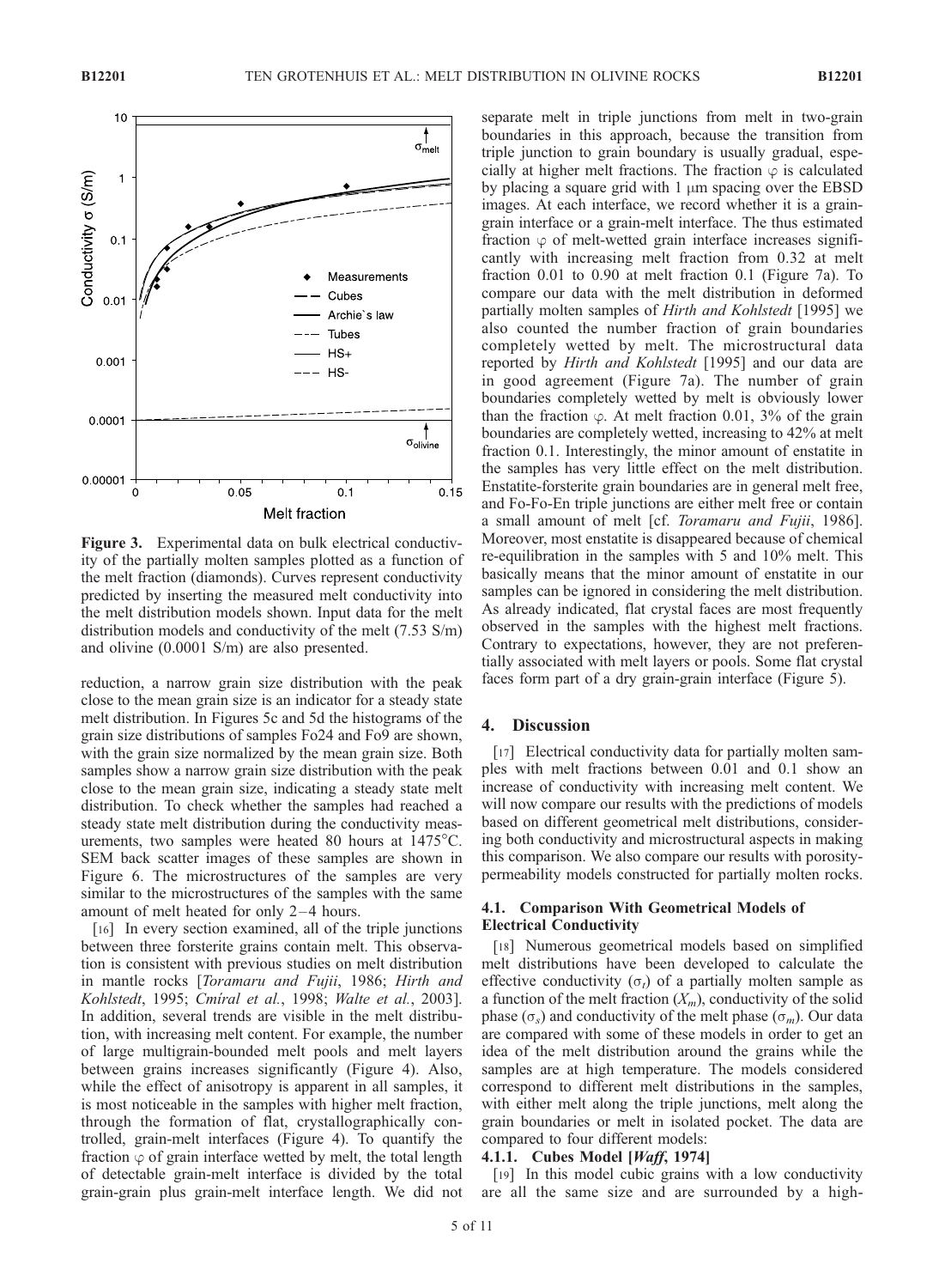

Figure 3. Experimental data on bulk electrical conductivity of the partially molten samples plotted as a function of the melt fraction (diamonds). Curves represent conductivity predicted by inserting the measured melt conductivity into the melt distribution models shown. Input data for the melt distribution models and conductivity of the melt (7.53 S/m) and olivine (0.0001 S/m) are also presented.

reduction, a narrow grain size distribution with the peak close to the mean grain size is an indicator for a steady state melt distribution. In Figures 5c and 5d the histograms of the grain size distributions of samples Fo24 and Fo9 are shown, with the grain size normalized by the mean grain size. Both samples show a narrow grain size distribution with the peak close to the mean grain size, indicating a steady state melt distribution. To check whether the samples had reached a steady state melt distribution during the conductivity measurements, two samples were heated 80 hours at  $1475^{\circ}$ C. SEM back scatter images of these samples are shown in Figure 6. The microstructures of the samples are very similar to the microstructures of the samples with the same amount of melt heated for only 2-4 hours.

[16] In every section examined, all of the triple junctions between three forsterite grains contain melt. This observation is consistent with previous studies on melt distribution in mantle rocks [Toramaru and Fujii, 1986; Hirth and Kohlstedt, 1995; Cmiral et al., 1998; Walte et al., 2003]. In addition, several trends are visible in the melt distribution, with increasing melt content. For example, the number of large multigrain-bounded melt pools and melt layers between grains increases significantly (Figure 4). Also, while the effect of anisotropy is apparent in all samples, it is most noticeable in the samples with higher melt fraction, through the formation of flat, crystallographically controlled, grain-melt interfaces (Figure 4). To quantify the fraction  $\varphi$  of grain interface wetted by melt, the total length of detectable grain-melt interface is divided by the total grain-grain plus grain-melt interface length. We did not

separate melt in triple junctions from melt in two-grain boundaries in this approach, because the transition from triple junction to grain boundary is usually gradual, especially at higher melt fractions. The fraction  $\varphi$  is calculated by placing a square grid with  $1 \mu m$  spacing over the EBSD images. At each interface, we record whether it is a graingrain interface or a grain-melt interface. The thus estimated fraction  $\varphi$  of melt-wetted grain interface increases significantly with increasing melt fraction from 0.32 at melt fraction 0.01 to 0.90 at melt fraction 0.1 (Figure 7a). To compare our data with the melt distribution in deformed partially molten samples of Hirth and Kohlstedt [1995] we also counted the number fraction of grain boundaries completely wetted by melt. The microstructural data reported by *Hirth and Kohlstedt* [1995] and our data are in good agreement (Figure 7a). The number of grain boundaries completely wetted by melt is obviously lower than the fraction  $\varphi$ . At melt fraction 0.01, 3% of the grain boundaries are completely wetted, increasing to 42% at melt fraction 0.1. Interestingly, the minor amount of enstatite in the samples has very little effect on the melt distribution. Enstatite-forsterite grain boundaries are in general melt free, and Fo-Fo-En triple junctions are either melt free or contain a small amount of melt [cf. Toramaru and Fujii, 1986]. Moreover, most enstatite is disappeared because of chemical re-equilibration in the samples with 5 and 10% melt. This basically means that the minor amount of enstatite in our samples can be ignored in considering the melt distribution. As already indicated, flat crystal faces are most frequently observed in the samples with the highest melt fractions. Contrary to expectations, however, they are not preferentially associated with melt layers or pools. Some flat crystal faces form part of a dry grain-grain interface (Figure 5).

# 4. Discussion

[17] Electrical conductivity data for partially molten samples with melt fractions between 0.01 and 0.1 show an increase of conductivity with increasing melt content. We will now compare our results with the predictions of models based on different geometrical melt distributions, considering both conductivity and microstructural aspects in making this comparison. We also compare our results with porositypermeability models constructed for partially molten rocks.

# 4.1. Comparison With Geometrical Models of Electrical Conductivity

[18] Numerous geometrical models based on simplified melt distributions have been developed to calculate the effective conductivity  $(\sigma_t)$  of a partially molten sample as a function of the melt fraction  $(X_m)$ , conductivity of the solid phase ( $\sigma_s$ ) and conductivity of the melt phase ( $\sigma_m$ ). Our data are compared with some of these models in order to get an idea of the melt distribution around the grains while the samples are at high temperature. The models considered correspond to different melt distributions in the samples, with either melt along the triple junctions, melt along the grain boundaries or melt in isolated pocket. The data are compared to four different models:

### 4.1.1. Cubes Model [Waff, 1974]

[19] In this model cubic grains with a low conductivity are all the same size and are surrounded by a high-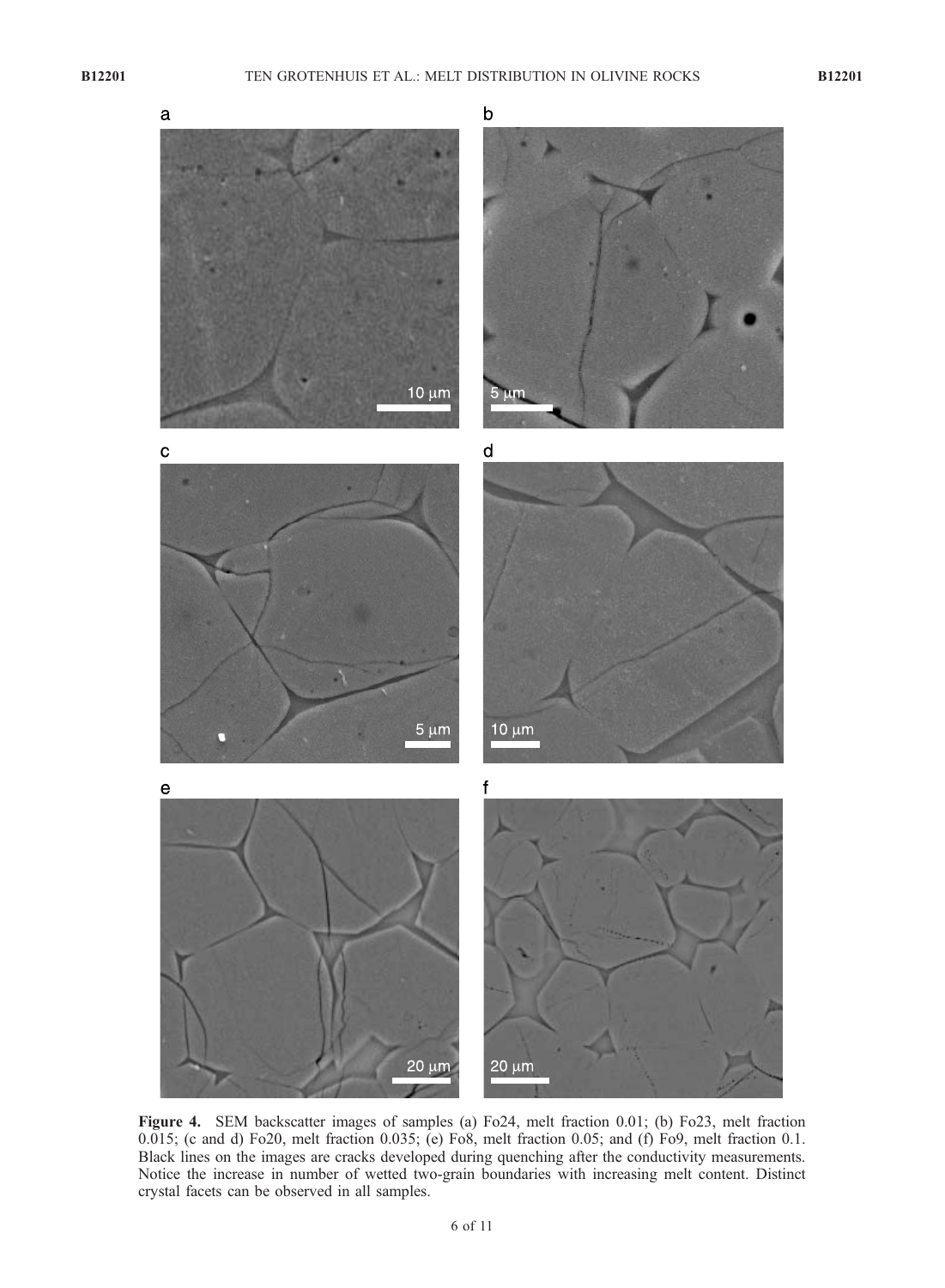

Figure 4. SEM backscatter images of samples (a) Fo24, melt fraction 0.01; (b) Fo23, melt fraction 0.015; (c and d) Fo20, melt fraction 0.035; (e) Fo8, melt fraction 0.05; and (f) Fo9, melt fraction 0.1. Black lines on the images are cracks developed during quenching after the conductivity measurements. Notice the increase in number of wetted two-grain boundaries with increasing melt content. Distinct crystal facets can be observed in all samples.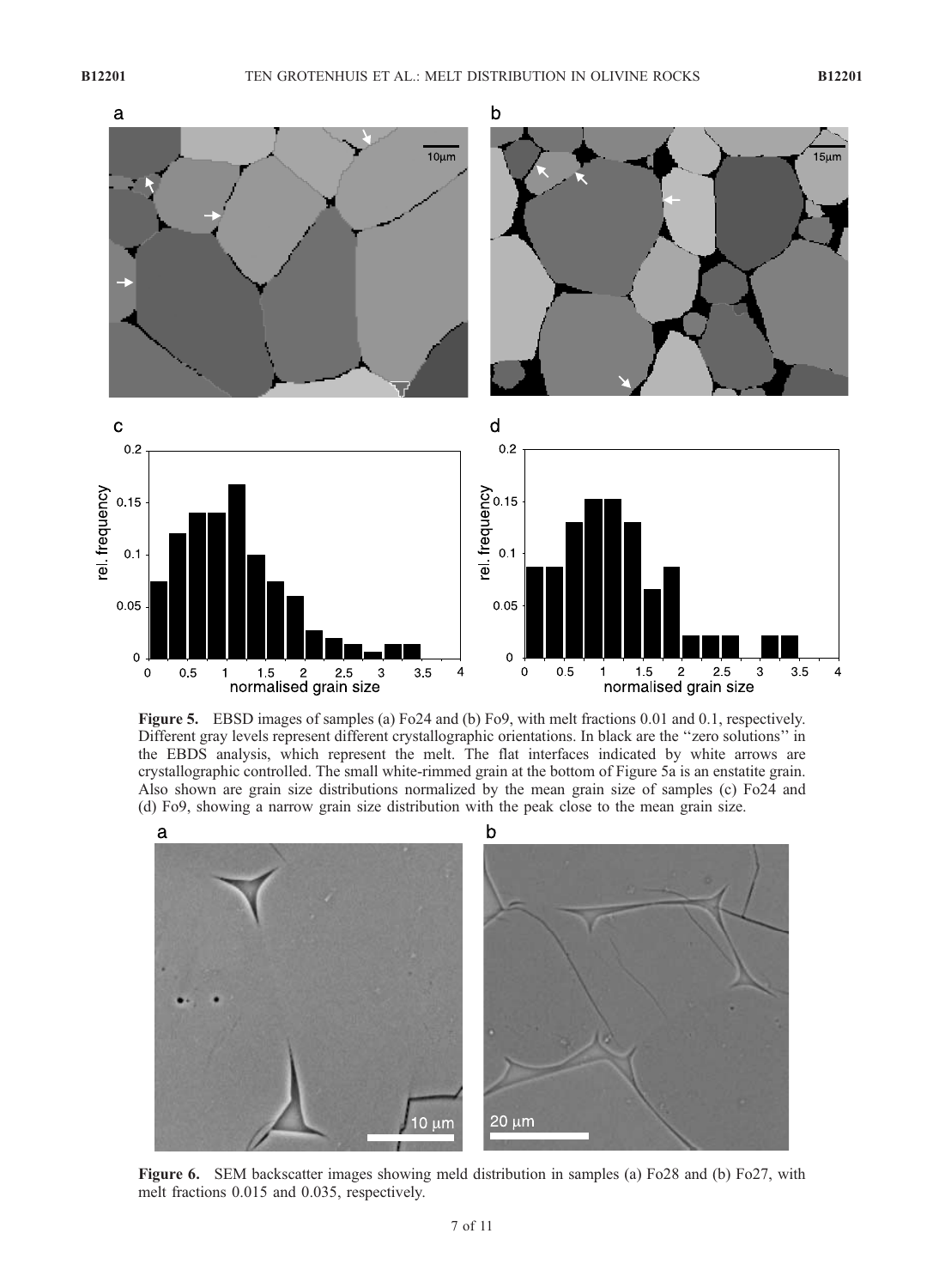

Figure 5. EBSD images of samples (a) Fo24 and (b) Fo9, with melt fractions 0.01 and 0.1, respectively. Different gray levels represent different crystallographic orientations. In black are the ''zero solutions'' in the EBDS analysis, which represent the melt. The flat interfaces indicated by white arrows are crystallographic controlled. The small white-rimmed grain at the bottom of Figure 5a is an enstatite grain. Also shown are grain size distributions normalized by the mean grain size of samples (c) Fo24 and (d) Fo9, showing a narrow grain size distribution with the peak close to the mean grain size.



Figure 6. SEM backscatter images showing meld distribution in samples (a) Fo28 and (b) Fo27, with melt fractions 0.015 and 0.035, respectively.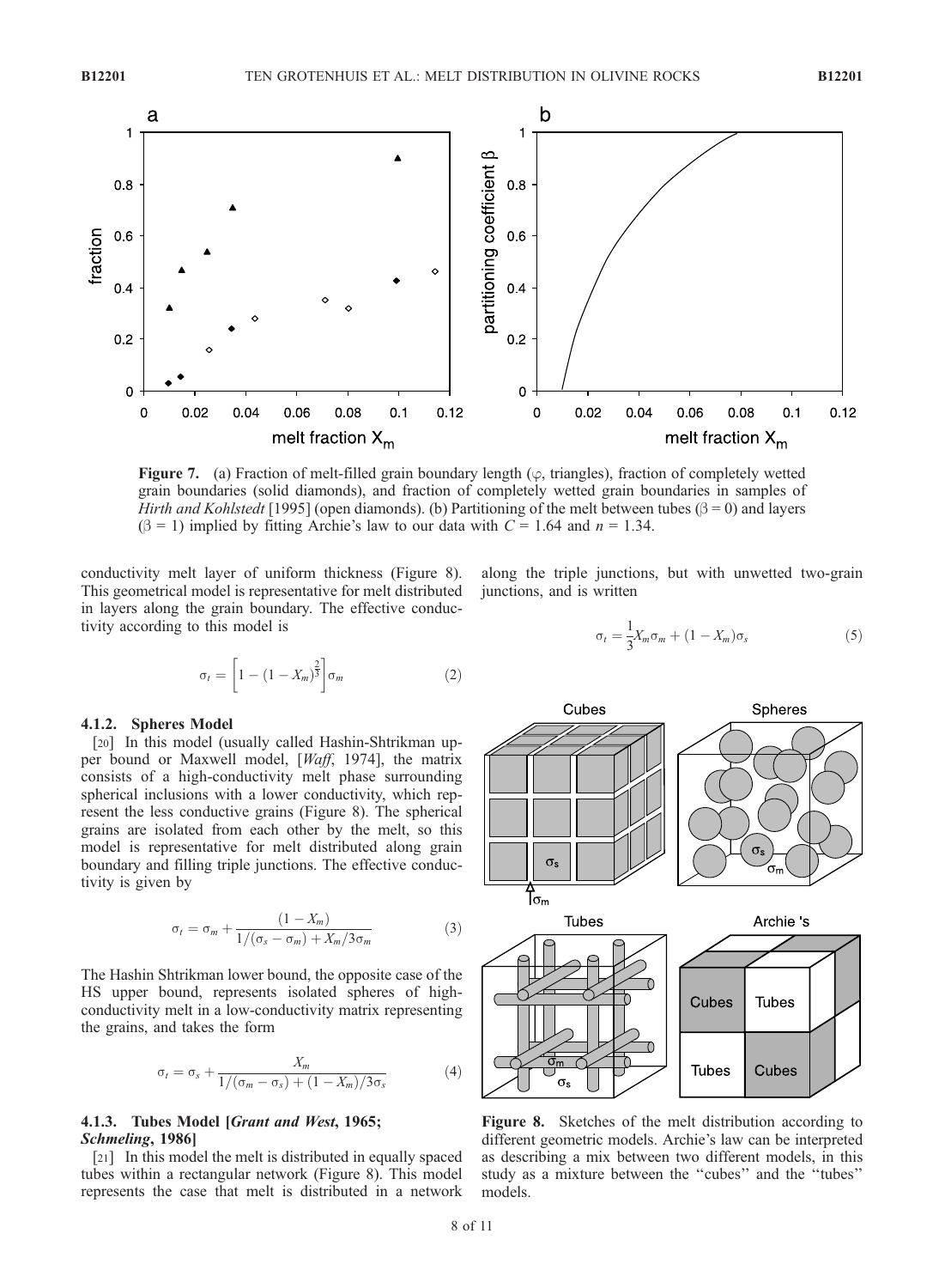

**Figure 7.** (a) Fraction of melt-filled grain boundary length ( $\varphi$ , triangles), fraction of completely wetted grain boundaries (solid diamonds), and fraction of completely wetted grain boundaries in samples of Hirth and Kohlstedt [1995] (open diamonds). (b) Partitioning of the melt between tubes ( $\beta = 0$ ) and layers  $(\beta = 1)$  implied by fitting Archie's law to our data with  $C = 1.64$  and  $n = 1.34$ .

conductivity melt layer of uniform thickness (Figure 8). This geometrical model is representative for melt distributed in layers along the grain boundary. The effective conductivity according to this model is

$$
\sigma_t = \left[1 - \left(1 - X_m\right)^{\frac{2}{3}}\right] \sigma_m \tag{2}
$$

### 4.1.2. Spheres Model

[20] In this model (usually called Hashin-Shtrikman upper bound or Maxwell model, [Waff, 1974], the matrix consists of a high-conductivity melt phase surrounding spherical inclusions with a lower conductivity, which represent the less conductive grains (Figure 8). The spherical grains are isolated from each other by the melt, so this model is representative for melt distributed along grain boundary and filling triple junctions. The effective conductivity is given by

$$
\sigma_t = \sigma_m + \frac{(1 - X_m)}{1/(\sigma_s - \sigma_m) + X_m/3\sigma_m} \tag{3}
$$

The Hashin Shtrikman lower bound, the opposite case of the HS upper bound, represents isolated spheres of highconductivity melt in a low-conductivity matrix representing the grains, and takes the form

$$
\sigma_t = \sigma_s + \frac{X_m}{1/(\sigma_m - \sigma_s) + (1 - X_m)/3\sigma_s} \tag{4}
$$

# 4.1.3. Tubes Model [Grant and West, 1965; Schmeling, 1986]

[21] In this model the melt is distributed in equally spaced tubes within a rectangular network (Figure 8). This model represents the case that melt is distributed in a network

along the triple junctions, but with unwetted two-grain junctions, and is written

$$
\sigma_t = \frac{1}{3} X_m \sigma_m + (1 - X_m) \sigma_s \tag{5}
$$



Figure 8. Sketches of the melt distribution according to different geometric models. Archie's law can be interpreted as describing a mix between two different models, in this study as a mixture between the ''cubes'' and the ''tubes'' models.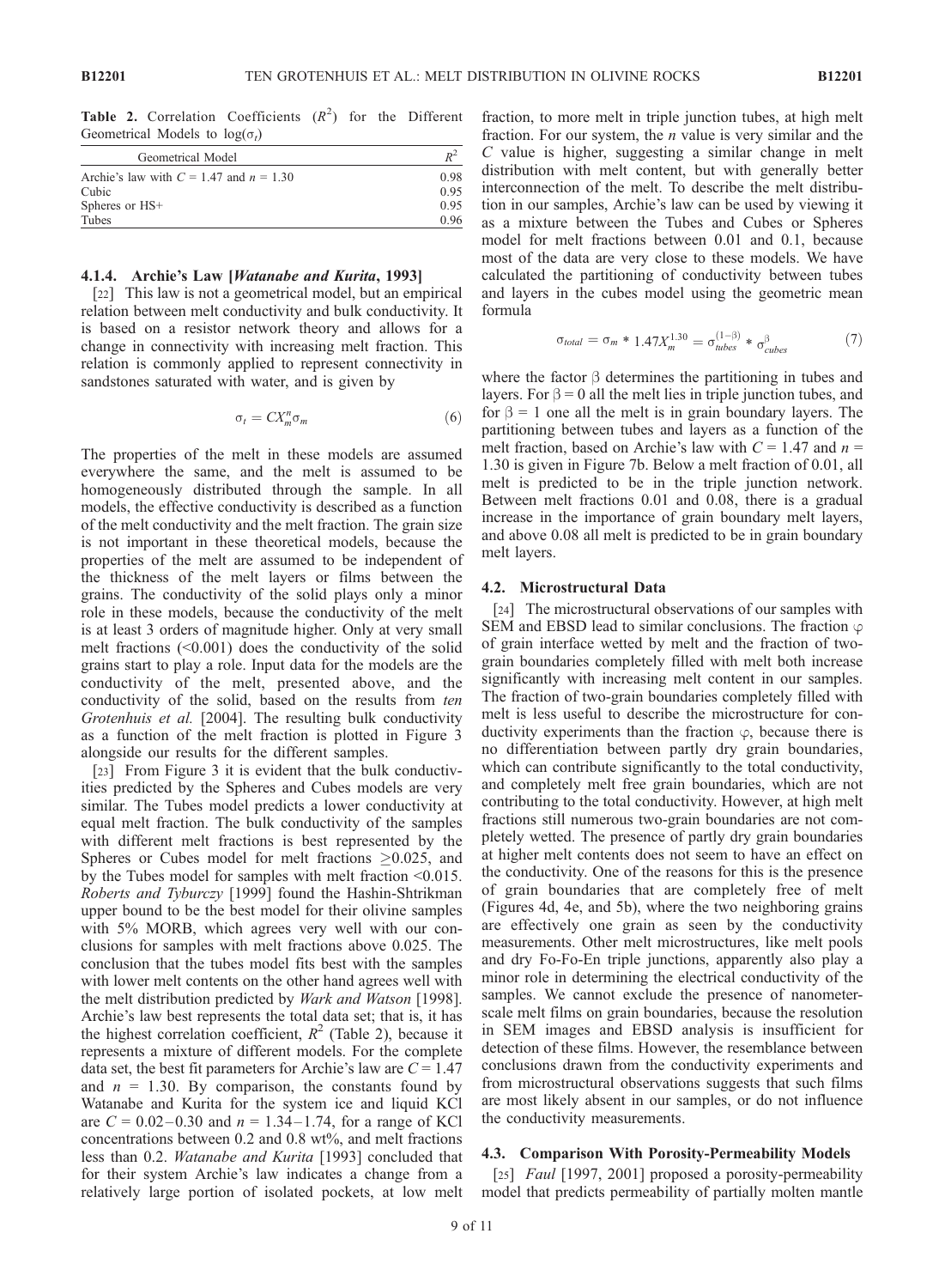Table 2. Correlation Coefficients  $(R^2)$  for the Different Geometrical Models to  $log(\sigma_t)$ 

| Geometrical Model                           | $R^2$<br>0.98 |
|---------------------------------------------|---------------|
| Archie's law with $C = 1.47$ and $n = 1.30$ |               |
| Cubic                                       | 0.95          |
| Spheres or HS+                              | 0.95          |
| Tubes                                       | 0.96          |

## 4.1.4. Archie's Law [Watanabe and Kurita, 1993]

[22] This law is not a geometrical model, but an empirical relation between melt conductivity and bulk conductivity. It is based on a resistor network theory and allows for a change in connectivity with increasing melt fraction. This relation is commonly applied to represent connectivity in sandstones saturated with water, and is given by

$$
\sigma_t = C X_m^n \sigma_m \tag{6}
$$

The properties of the melt in these models are assumed everywhere the same, and the melt is assumed to be homogeneously distributed through the sample. In all models, the effective conductivity is described as a function of the melt conductivity and the melt fraction. The grain size is not important in these theoretical models, because the properties of the melt are assumed to be independent of the thickness of the melt layers or films between the grains. The conductivity of the solid plays only a minor role in these models, because the conductivity of the melt is at least 3 orders of magnitude higher. Only at very small melt fractions (<0.001) does the conductivity of the solid grains start to play a role. Input data for the models are the conductivity of the melt, presented above, and the conductivity of the solid, based on the results from ten Grotenhuis et al. [2004]. The resulting bulk conductivity as a function of the melt fraction is plotted in Figure 3 alongside our results for the different samples.

[23] From Figure 3 it is evident that the bulk conductivities predicted by the Spheres and Cubes models are very similar. The Tubes model predicts a lower conductivity at equal melt fraction. The bulk conductivity of the samples with different melt fractions is best represented by the Spheres or Cubes model for melt fractions  $\geq 0.025$ , and by the Tubes model for samples with melt fraction <0.015. Roberts and Tyburczy [1999] found the Hashin-Shtrikman upper bound to be the best model for their olivine samples with 5% MORB, which agrees very well with our conclusions for samples with melt fractions above 0.025. The conclusion that the tubes model fits best with the samples with lower melt contents on the other hand agrees well with the melt distribution predicted by Wark and Watson [1998]. Archie's law best represents the total data set; that is, it has the highest correlation coefficient,  $R^2$  (Table 2), because it represents a mixture of different models. For the complete data set, the best fit parameters for Archie's law are  $C = 1.47$ and  $n = 1.30$ . By comparison, the constants found by Watanabe and Kurita for the system ice and liquid KCl are  $C = 0.02 - 0.30$  and  $n = 1.34 - 1.74$ , for a range of KCl concentrations between 0.2 and 0.8 wt%, and melt fractions less than 0.2. Watanabe and Kurita [1993] concluded that for their system Archie's law indicates a change from a relatively large portion of isolated pockets, at low melt fraction, to more melt in triple junction tubes, at high melt fraction. For our system, the  $n$  value is very similar and the  $C$  value is higher, suggesting a similar change in melt distribution with melt content, but with generally better interconnection of the melt. To describe the melt distribution in our samples, Archie's law can be used by viewing it as a mixture between the Tubes and Cubes or Spheres model for melt fractions between 0.01 and 0.1, because most of the data are very close to these models. We have calculated the partitioning of conductivity between tubes and layers in the cubes model using the geometric mean formula

$$
\sigma_{total} = \sigma_m * 1.47 X_m^{1.30} = \sigma_{tubes}^{(1-\beta)} * \sigma_{cubes}^{\beta}
$$
 (7)

where the factor  $\beta$  determines the partitioning in tubes and layers. For  $\beta = 0$  all the melt lies in triple junction tubes, and for  $\beta = 1$  one all the melt is in grain boundary layers. The partitioning between tubes and layers as a function of the melt fraction, based on Archie's law with  $C = 1.47$  and  $n =$ 1.30 is given in Figure 7b. Below a melt fraction of 0.01, all melt is predicted to be in the triple junction network. Between melt fractions 0.01 and 0.08, there is a gradual increase in the importance of grain boundary melt layers, and above 0.08 all melt is predicted to be in grain boundary melt layers.

# 4.2. Microstructural Data

[24] The microstructural observations of our samples with SEM and EBSD lead to similar conclusions. The fraction  $\varphi$ of grain interface wetted by melt and the fraction of twograin boundaries completely filled with melt both increase significantly with increasing melt content in our samples. The fraction of two-grain boundaries completely filled with melt is less useful to describe the microstructure for conductivity experiments than the fraction  $\varphi$ , because there is no differentiation between partly dry grain boundaries, which can contribute significantly to the total conductivity, and completely melt free grain boundaries, which are not contributing to the total conductivity. However, at high melt fractions still numerous two-grain boundaries are not completely wetted. The presence of partly dry grain boundaries at higher melt contents does not seem to have an effect on the conductivity. One of the reasons for this is the presence of grain boundaries that are completely free of melt (Figures 4d, 4e, and 5b), where the two neighboring grains are effectively one grain as seen by the conductivity measurements. Other melt microstructures, like melt pools and dry Fo-Fo-En triple junctions, apparently also play a minor role in determining the electrical conductivity of the samples. We cannot exclude the presence of nanometerscale melt films on grain boundaries, because the resolution in SEM images and EBSD analysis is insufficient for detection of these films. However, the resemblance between conclusions drawn from the conductivity experiments and from microstructural observations suggests that such films are most likely absent in our samples, or do not influence the conductivity measurements.

#### 4.3. Comparison With Porosity-Permeability Models

[25] *Faul* [1997, 2001] proposed a porosity-permeability model that predicts permeability of partially molten mantle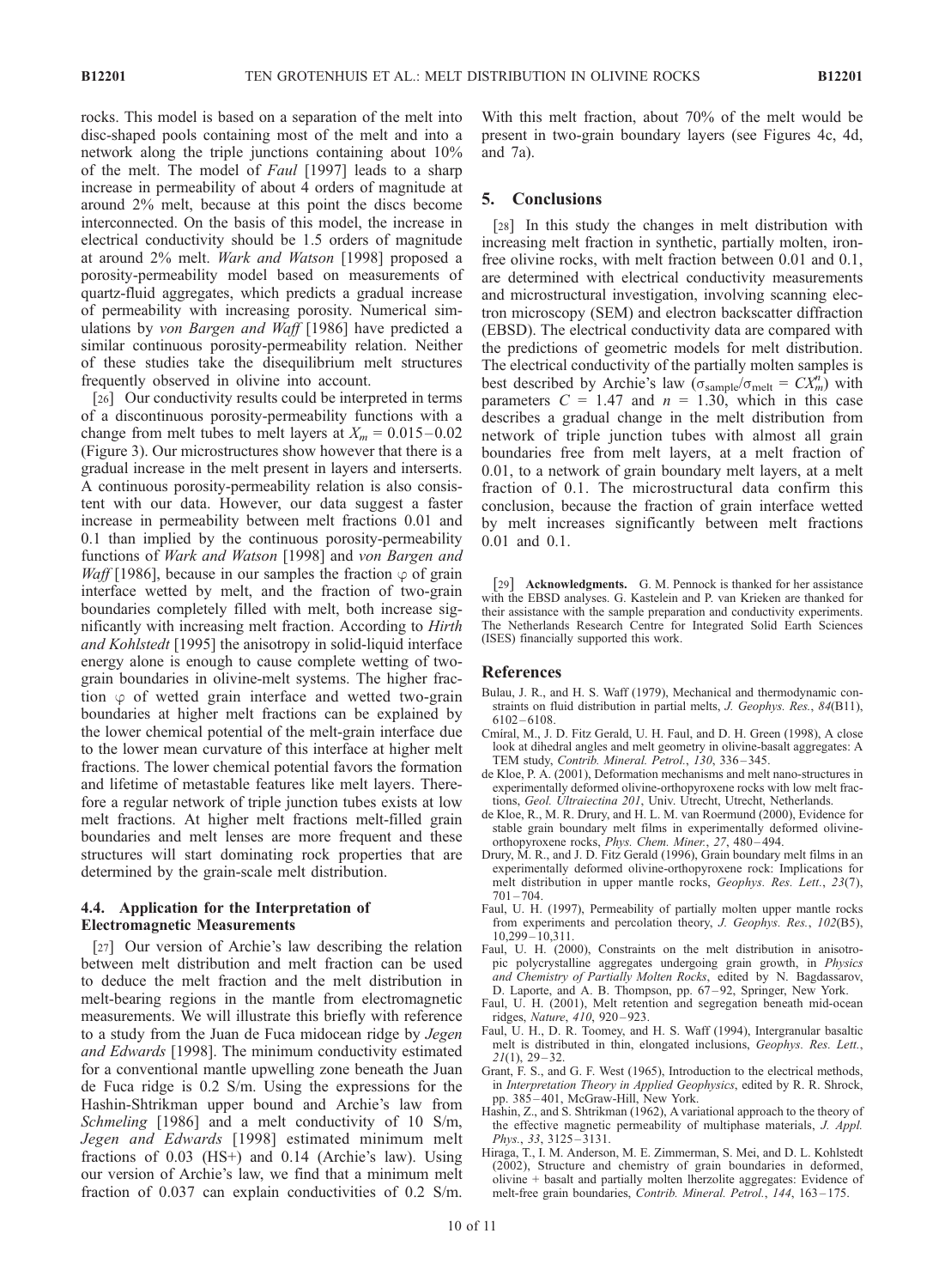rocks. This model is based on a separation of the melt into disc-shaped pools containing most of the melt and into a network along the triple junctions containing about 10% of the melt. The model of Faul [1997] leads to a sharp increase in permeability of about 4 orders of magnitude at around 2% melt, because at this point the discs become interconnected. On the basis of this model, the increase in electrical conductivity should be 1.5 orders of magnitude at around 2% melt. Wark and Watson [1998] proposed a porosity-permeability model based on measurements of quartz-fluid aggregates, which predicts a gradual increase of permeability with increasing porosity. Numerical simulations by von Bargen and Waff [1986] have predicted a similar continuous porosity-permeability relation. Neither of these studies take the disequilibrium melt structures frequently observed in olivine into account.

[26] Our conductivity results could be interpreted in terms of a discontinuous porosity-permeability functions with a change from melt tubes to melt layers at  $X_m = 0.015 - 0.02$ (Figure 3). Our microstructures show however that there is a gradual increase in the melt present in layers and interserts. A continuous porosity-permeability relation is also consistent with our data. However, our data suggest a faster increase in permeability between melt fractions 0.01 and 0.1 than implied by the continuous porosity-permeability functions of Wark and Watson [1998] and von Bargen and *Waff* [1986], because in our samples the fraction  $\varphi$  of grain interface wetted by melt, and the fraction of two-grain boundaries completely filled with melt, both increase significantly with increasing melt fraction. According to Hirth and Kohlstedt [1995] the anisotropy in solid-liquid interface energy alone is enough to cause complete wetting of twograin boundaries in olivine-melt systems. The higher fraction  $\varphi$  of wetted grain interface and wetted two-grain boundaries at higher melt fractions can be explained by the lower chemical potential of the melt-grain interface due to the lower mean curvature of this interface at higher melt fractions. The lower chemical potential favors the formation and lifetime of metastable features like melt layers. Therefore a regular network of triple junction tubes exists at low melt fractions. At higher melt fractions melt-filled grain boundaries and melt lenses are more frequent and these structures will start dominating rock properties that are determined by the grain-scale melt distribution.

# 4.4. Application for the Interpretation of Electromagnetic Measurements

[27] Our version of Archie's law describing the relation between melt distribution and melt fraction can be used to deduce the melt fraction and the melt distribution in melt-bearing regions in the mantle from electromagnetic measurements. We will illustrate this briefly with reference to a study from the Juan de Fuca midocean ridge by Jegen and Edwards [1998]. The minimum conductivity estimated for a conventional mantle upwelling zone beneath the Juan de Fuca ridge is 0.2 S/m. Using the expressions for the Hashin-Shtrikman upper bound and Archie's law from Schmeling [1986] and a melt conductivity of 10 S/m, Jegen and Edwards [1998] estimated minimum melt fractions of 0.03 (HS+) and 0.14 (Archie's law). Using our version of Archie's law, we find that a minimum melt fraction of 0.037 can explain conductivities of 0.2 S/m.

With this melt fraction, about 70% of the melt would be present in two-grain boundary layers (see Figures 4c, 4d, and 7a).

## 5. Conclusions

[28] In this study the changes in melt distribution with increasing melt fraction in synthetic, partially molten, ironfree olivine rocks, with melt fraction between 0.01 and 0.1, are determined with electrical conductivity measurements and microstructural investigation, involving scanning electron microscopy (SEM) and electron backscatter diffraction (EBSD). The electrical conductivity data are compared with the predictions of geometric models for melt distribution. The electrical conductivity of the partially molten samples is best described by Archie's law  $(\sigma_{\text{sample}}/\sigma_{\text{melt}} = CX_m^n)$  with parameters  $C = 1.47$  and  $n = 1.30$ , which in this case describes a gradual change in the melt distribution from network of triple junction tubes with almost all grain boundaries free from melt layers, at a melt fraction of 0.01, to a network of grain boundary melt layers, at a melt fraction of 0.1. The microstructural data confirm this conclusion, because the fraction of grain interface wetted by melt increases significantly between melt fractions 0.01 and 0.1.

[29] **Acknowledgments.** G. M. Pennock is thanked for her assistance with the EBSD analyses. G. Kastelein and P. van Krieken are thanked for their assistance with the sample preparation and conductivity experiments. The Netherlands Research Centre for Integrated Solid Earth Sciences (ISES) financially supported this work.

# References

- Bulau, J. R., and H. S. Waff (1979), Mechanical and thermodynamic constraints on fluid distribution in partial melts, J. Geophys. Res., 84(B11),  $6102 - 6108.$
- Cmiral, M., J. D. Fitz Gerald, U. H. Faul, and D. H. Green (1998), A close look at dihedral angles and melt geometry in olivine-basalt aggregates: A TEM study, Contrib. Mineral. Petrol., 130, 336 – 345.
- de Kloe, P. A. (2001), Deformation mechanisms and melt nano-structures in experimentally deformed olivine-orthopyroxene rocks with low melt fractions, Geol. Ultraiectina 201, Univ. Utrecht, Utrecht, Netherlands.
- de Kloe, R., M. R. Drury, and H. L. M. van Roermund (2000), Evidence for stable grain boundary melt films in experimentally deformed olivineorthopyroxene rocks, Phys. Chem. Miner., 27, 480 – 494.
- Drury, M. R., and J. D. Fitz Gerald (1996), Grain boundary melt films in an experimentally deformed olivine-orthopyroxene rock: Implications for melt distribution in upper mantle rocks, Geophys. Res. Lett., 23(7),  $701 - 704.$
- Faul, U. H. (1997), Permeability of partially molten upper mantle rocks from experiments and percolation theory, J. Geophys. Res., 102(B5), 10,299 – 10,311.
- Faul, U. H. (2000), Constraints on the melt distribution in anisotropic polycrystalline aggregates undergoing grain growth, in Physics and Chemistry of Partially Molten Rocks, edited by N. Bagdassarov, D. Laporte, and A. B. Thompson, pp. 67 – 92, Springer, New York.
- Faul, U. H. (2001), Melt retention and segregation beneath mid-ocean ridges, Nature, 410, 920-923.
- Faul, U. H., D. R. Toomey, and H. S. Waff (1994), Intergranular basaltic melt is distributed in thin, elongated inclusions, Geophys. Res. Lett.,  $21(1), 29-32.$
- Grant, F. S., and G. F. West (1965), Introduction to the electrical methods, in Interpretation Theory in Applied Geophysics, edited by R. R. Shrock, pp. 385 – 401, McGraw-Hill, New York.
- Hashin, Z., and S. Shtrikman (1962), A variational approach to the theory of the effective magnetic permeability of multiphase materials, J. Appl. Phys., 33, 3125-3131.
- Hiraga, T., I. M. Anderson, M. E. Zimmerman, S. Mei, and D. L. Kohlstedt (2002), Structure and chemistry of grain boundaries in deformed, olivine + basalt and partially molten lherzolite aggregates: Evidence of melt-free grain boundaries, Contrib. Mineral. Petrol., 144, 163-175.